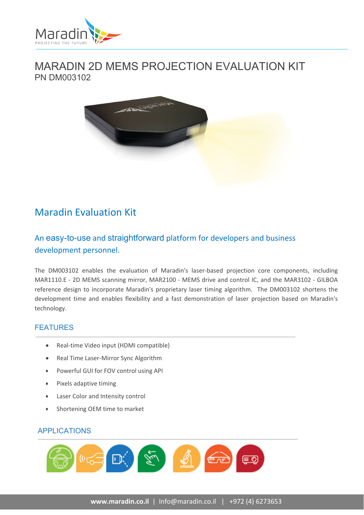

## MARADIN 2D MEMS PROJECTION EVALUATION KIT PN DM003102



# Maradin Evaluation Kit

## An easy-to-use and straightforward platform for developers and business development personnel.

The DM003102 enables the evaluation of Maradin's laser‐based projection core components, including MAR1110.E ‐ 2D MEMS scanning mirror, MAR2100 ‐ MEMS drive and control IC, and the MAR3102 ‐ GILBOA reference design to incorporate Maradin's proprietary laser timing algorithm. The DM003102 shortens the development time and enables flexibility and a fast demonstration of laser projection based on Maradin's technology.

### FEATURES

- Real-time Video input (HDMI compatible)
- Real Time Laser-Mirror Sync Algorithm
- Powerful GUI for FOV control using API
- Pixels adaptive timing
- Laser Color and Intensity control
- Shortening OEM time to market

#### APPLICATIONS

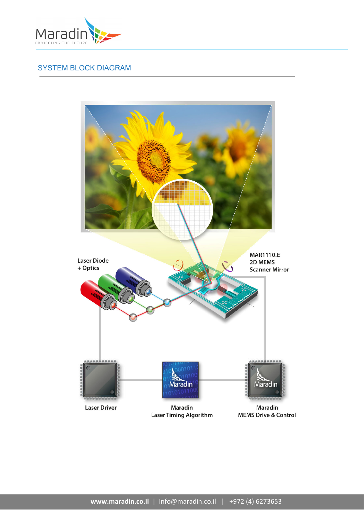

## SYSTEM BLOCK DIAGRAM

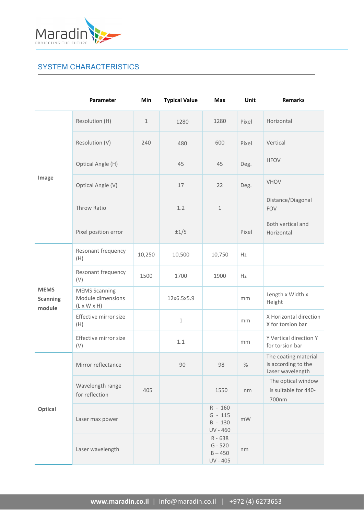

## SYSTEM CHARACTERISTICS

|                                          | Parameter                                                            | Min          | <b>Typical Value</b> | <b>Max</b>                                    | Unit  | <b>Remarks</b>                                                  |
|------------------------------------------|----------------------------------------------------------------------|--------------|----------------------|-----------------------------------------------|-------|-----------------------------------------------------------------|
| Image                                    | Resolution (H)                                                       | $\mathbf{1}$ | 1280                 | 1280                                          | Pixel | Horizontal                                                      |
|                                          | Resolution (V)                                                       | 240          | 480                  | 600                                           | Pixel | Vertical                                                        |
|                                          | Optical Angle (H)                                                    |              | 45                   | 45                                            | Deg.  | <b>HFOV</b>                                                     |
|                                          | Optical Angle (V)                                                    |              | 17                   | 22                                            | Deg.  | <b>VHOV</b>                                                     |
|                                          | Throw Ratio                                                          |              | 1.2                  | $\mathbf{1}$                                  |       | Distance/Diagonal<br><b>FOV</b>                                 |
|                                          | Pixel position error                                                 |              | $\pm 1/5$            |                                               | Pixel | Both vertical and<br>Horizontal                                 |
| <b>MEMS</b><br><b>Scanning</b><br>module | Resonant frequency<br>(H)                                            | 10,250       | 10,500               | 10,750                                        | Hz    |                                                                 |
|                                          | Resonant frequency<br>(V)                                            | 1500         | 1700                 | 1900                                          | Hz    |                                                                 |
|                                          | <b>MEMS Scanning</b><br>Module dimensions<br>$(L \times W \times H)$ |              | 12x6.5x5.9           |                                               | mm    | Length x Width x<br>Height                                      |
|                                          | Effective mirror size<br>(H)                                         |              | $\mathbf{1}$         |                                               | mm    | X Horizontal direction<br>X for torsion bar                     |
|                                          | Effective mirror size<br>(V)                                         |              | 1.1                  |                                               | mm    | Y Vertical direction Y<br>for torsion bar                       |
| Optical                                  | Mirror reflectance                                                   |              | 90                   | 98                                            | $\%$  | The coating material<br>is according to the<br>Laser wavelength |
|                                          | Wavelength range<br>for reflection                                   | 405          |                      | 1550                                          | nm    | The optical window<br>is suitable for 440-<br>700nm             |
|                                          | Laser max power                                                      |              |                      | R - 160<br>$G - 115$<br>B - 130<br>UV - 460   | mW    |                                                                 |
|                                          | Laser wavelength                                                     |              |                      | R - 638<br>$G - 520$<br>$B - 450$<br>UV - 405 | nm    |                                                                 |